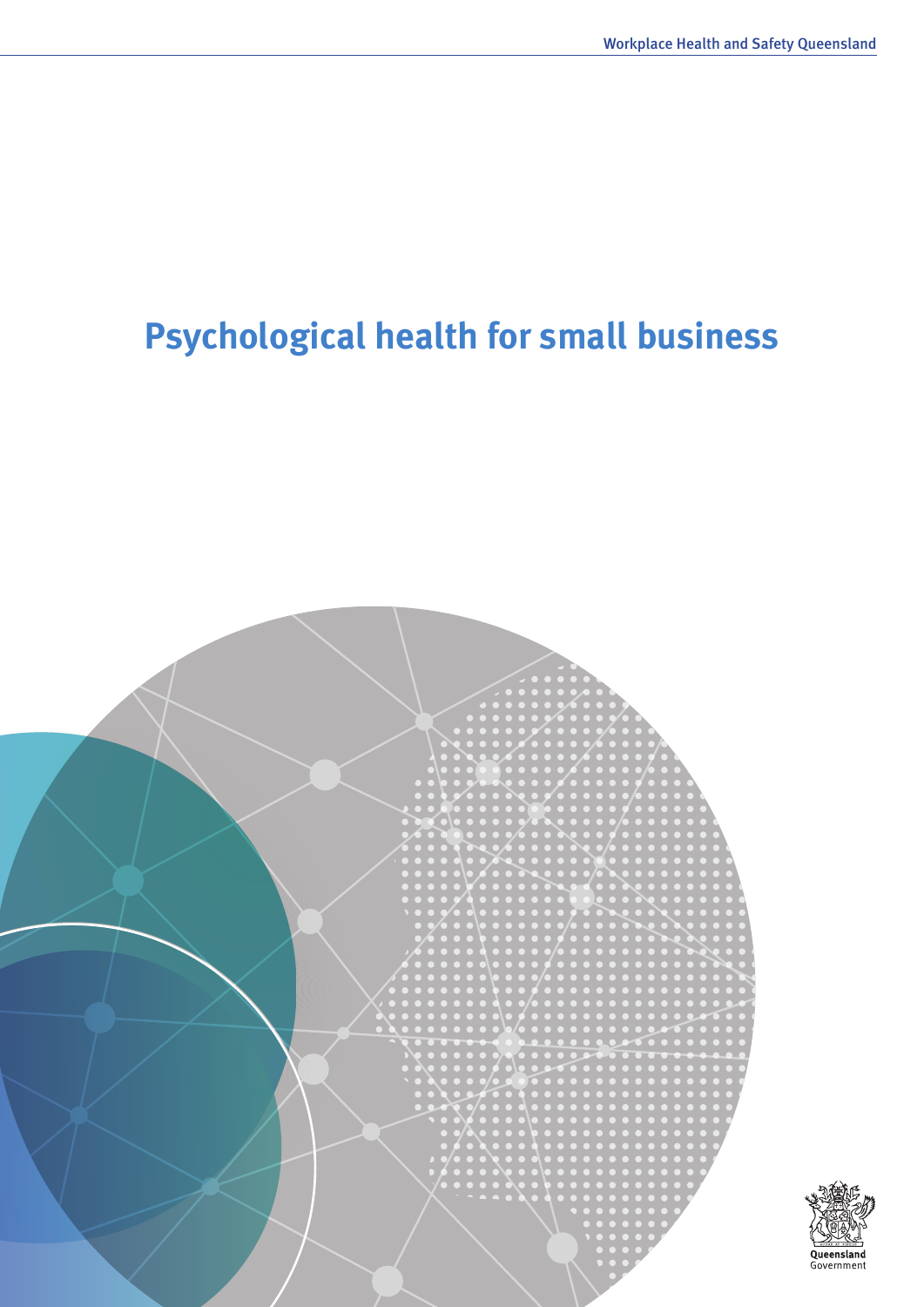Queensland<br>Government

# **Psychological health for small business**

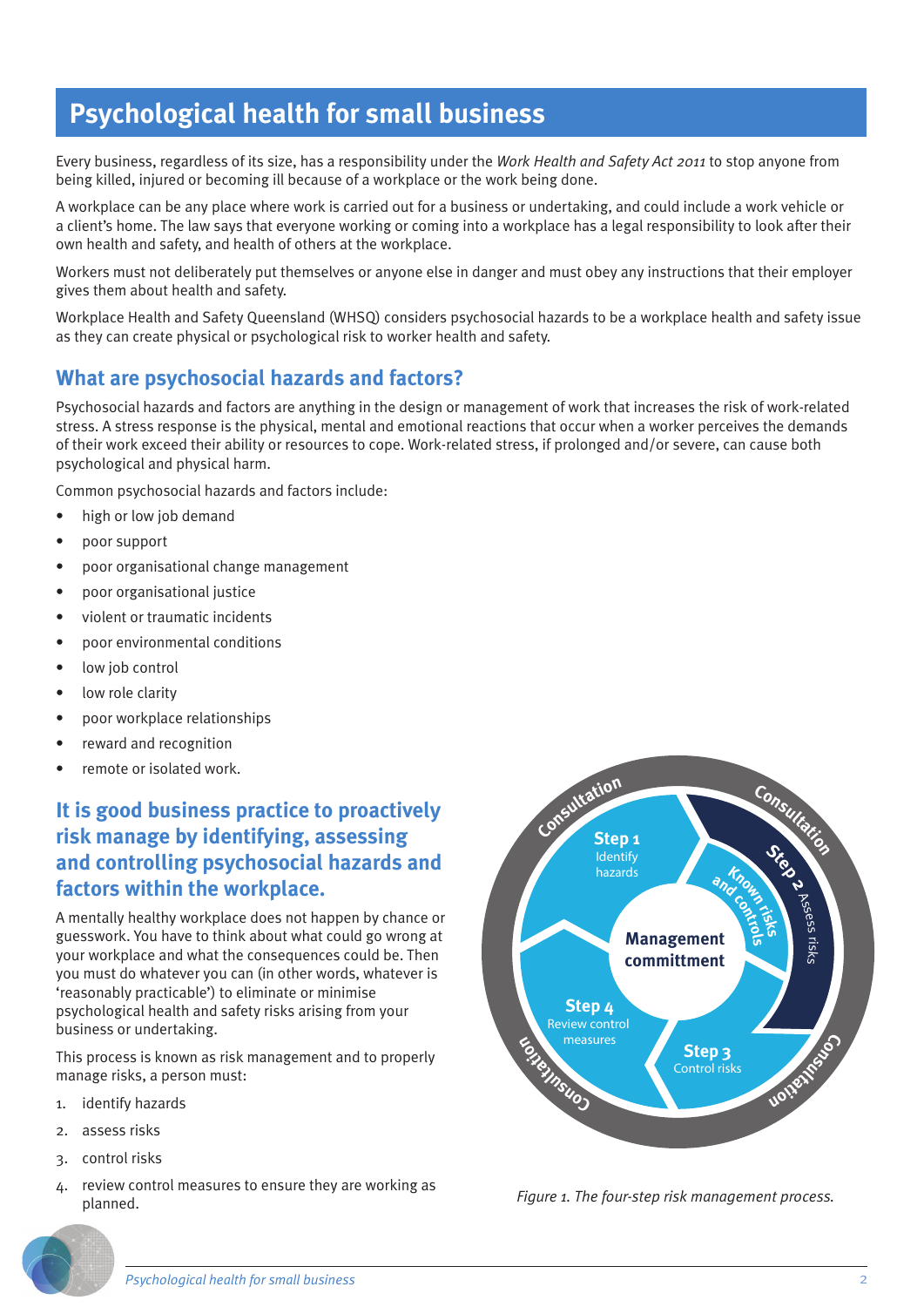## **Psychological health for small business**

Every business, regardless of its size, has a responsibility under the *Work Health and Safety Act 2011* to stop anyone from being killed, injured or becoming ill because of a workplace or the work being done.

A workplace can be any place where work is carried out for a business or undertaking, and could include a work vehicle or a client's home. The law says that everyone working or coming into a workplace has a legal responsibility to look after their own health and safety, and health of others at the workplace.

Workers must not deliberately put themselves or anyone else in danger and must obey any instructions that their employer gives them about health and safety.

Workplace Health and Safety Queensland (WHSQ) considers psychosocial hazards to be a workplace health and safety issue as they can create physical or psychological risk to worker health and safety.

## **What are psychosocial hazards and factors?**

Psychosocial hazards and factors are anything in the design or management of work that increases the risk of work-related stress. A stress response is the physical, mental and emotional reactions that occur when a worker perceives the demands of their work exceed their ability or resources to cope. Work-related stress, if prolonged and/or severe, can cause both psychological and physical harm.

Common psychosocial hazards and factors include:

- high or low job demand
- poor support
- poor organisational change management
- poor organisational justice
- violent or traumatic incidents
- poor environmental conditions
- low job control
- low role clarity
- poor workplace relationships
- reward and recognition
- remote or isolated work.

## **It is good business practice to proactively risk manage by identifying, assessing and controlling psychosocial hazards and factors within the workplace.**

A mentally healthy workplace does not happen by chance or guesswork. You have to think about what could go wrong at your workplace and what the consequences could be. Then you must do whatever you can (in other words, whatever is 'reasonably practicable') to eliminate or minimise psychological health and safety risks arising from your business or undertaking.

This process is known as risk management and to properly manage risks, a person must:

- 1. identify hazards
- 2. assess risks
- 3. control risks
- 4. review control measures to ensure they are working as planned. *Figure 1. The four-step risk management process.*



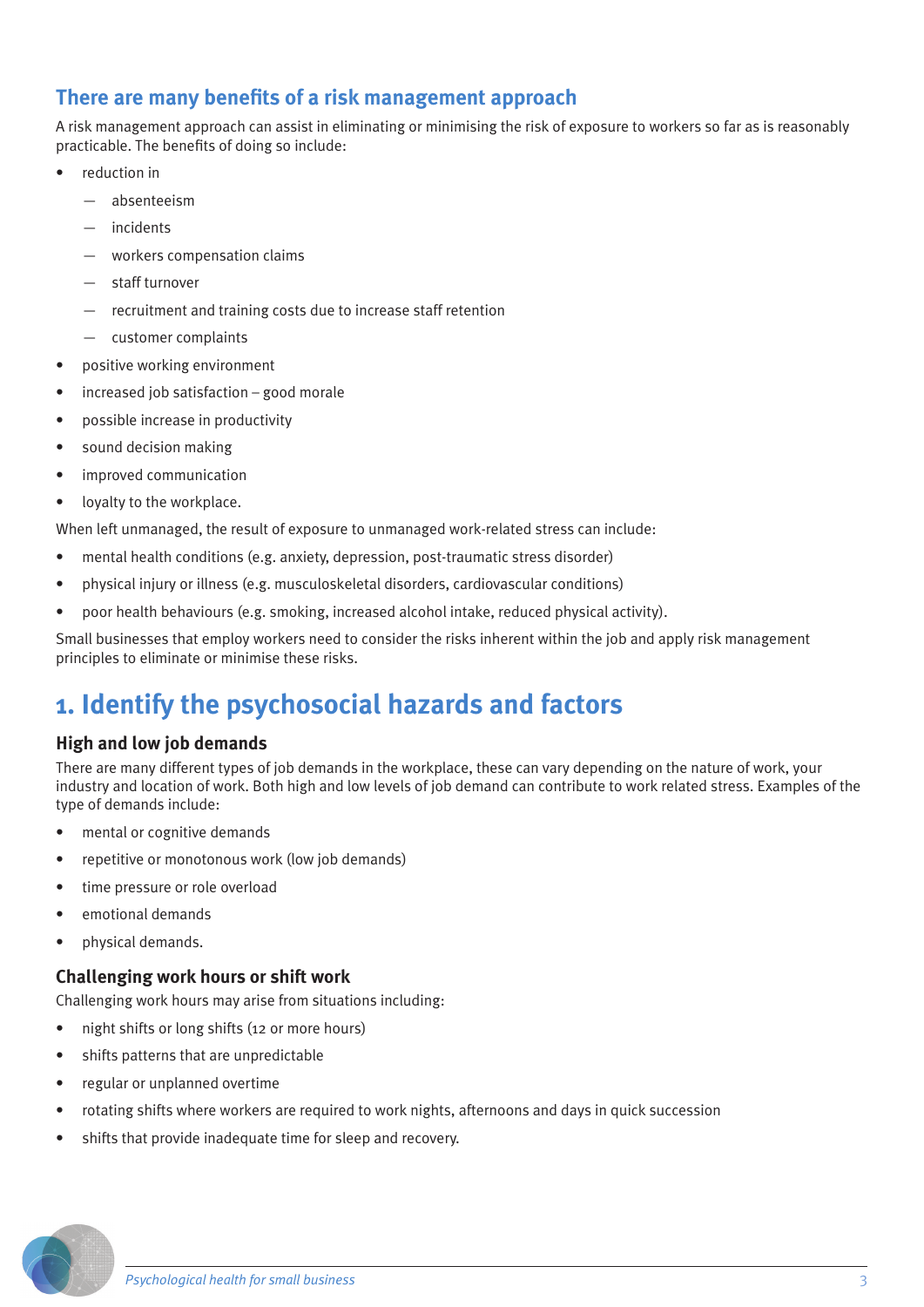## **There are many benefits of a risk management approach**

A risk management approach can assist in eliminating or minimising the risk of exposure to workers so far as is reasonably practicable. The benefits of doing so include:

- reduction in
	- absenteeism
	- incidents
	- workers compensation claims
	- staff turnover
	- recruitment and training costs due to increase staff retention
	- customer complaints
- positive working environment
- $increased$  job satisfaction good morale
- possible increase in productivity
- sound decision making
- improved communication
- loyalty to the workplace.

When left unmanaged, the result of exposure to unmanaged work-related stress can include:

- mental health conditions (e.g. anxiety, depression, post-traumatic stress disorder)
- physical injury or illness (e.g. musculoskeletal disorders, cardiovascular conditions)
- poor health behaviours (e.g. smoking, increased alcohol intake, reduced physical activity).

Small businesses that employ workers need to consider the risks inherent within the job and apply risk management principles to eliminate or minimise these risks.

## **1. Identify the psychosocial hazards and factors**

#### **High and low job demands**

There are many different types of job demands in the workplace, these can vary depending on the nature of work, your industry and location of work. Both high and low levels of job demand can contribute to work related stress. Examples of the type of demands include:

- mental or cognitive demands
- repetitive or monotonous work (low job demands)
- time pressure or role overload
- emotional demands
- physical demands.

#### **Challenging work hours or shift work**

Challenging work hours may arise from situations including:

- night shifts or long shifts (12 or more hours)
- shifts patterns that are unpredictable
- regular or unplanned overtime
- rotating shifts where workers are required to work nights, afternoons and days in quick succession
- shifts that provide inadequate time for sleep and recovery.

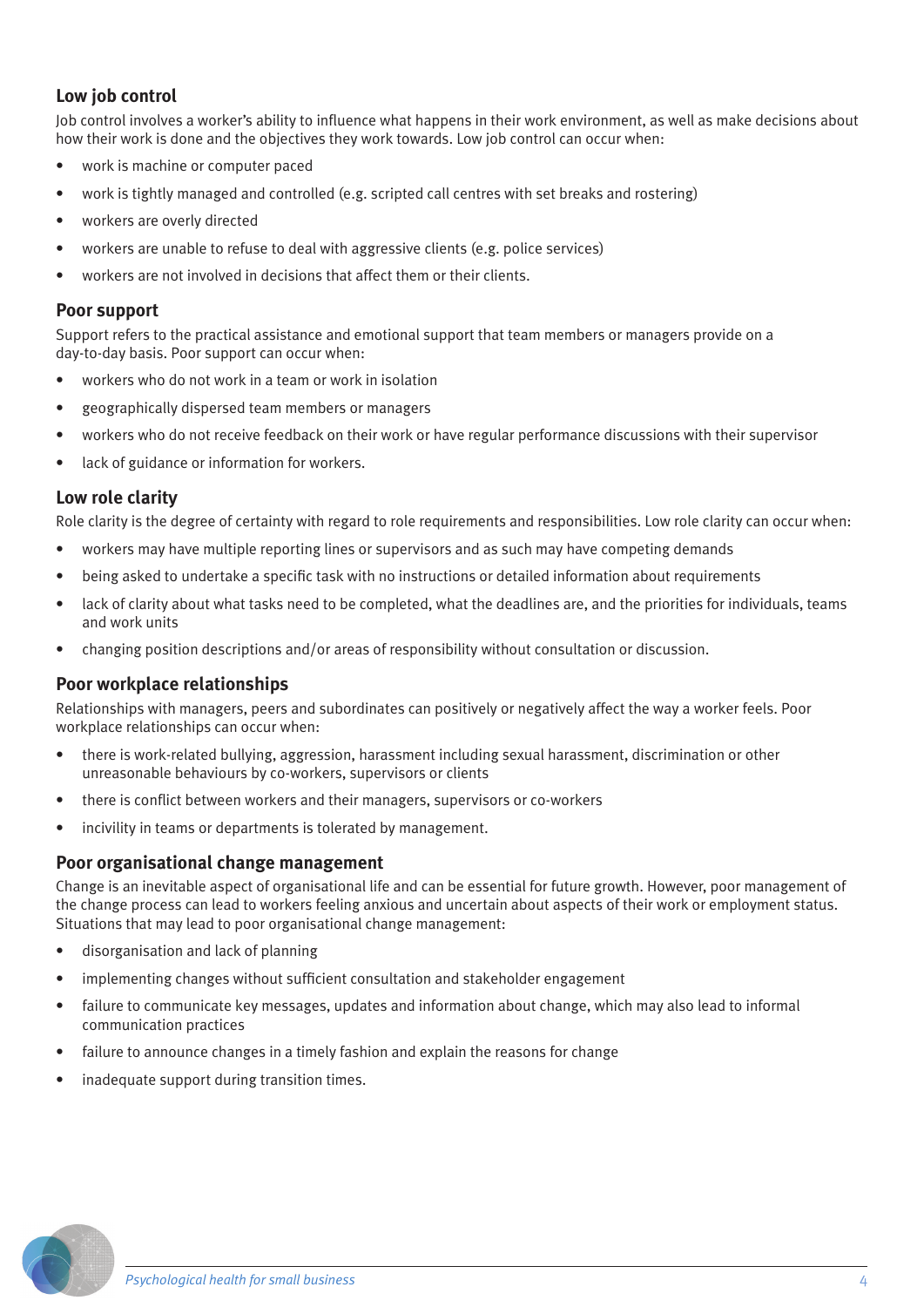#### **Low job control**

Job control involves a worker's ability to influence what happens in their work environment, as well as make decisions about how their work is done and the objectives they work towards. Low job control can occur when:

- work is machine or computer paced
- work is tightly managed and controlled (e.g. scripted call centres with set breaks and rostering)
- workers are overly directed
- workers are unable to refuse to deal with aggressive clients (e.g. police services)
- workers are not involved in decisions that affect them or their clients.

#### **Poor support**

Support refers to the practical assistance and emotional support that team members or managers provide on a day-to-day basis. Poor support can occur when:

- workers who do not work in a team or work in isolation
- geographically dispersed team members or managers
- workers who do not receive feedback on their work or have regular performance discussions with their supervisor
- lack of guidance or information for workers.

#### **Low role clarity**

Role clarity is the degree of certainty with regard to role requirements and responsibilities. Low role clarity can occur when:

- workers may have multiple reporting lines or supervisors and as such may have competing demands
- being asked to undertake a specific task with no instructions or detailed information about requirements
- lack of clarity about what tasks need to be completed, what the deadlines are, and the priorities for individuals, teams and work units
- changing position descriptions and/or areas of responsibility without consultation or discussion.

#### **Poor workplace relationships**

Relationships with managers, peers and subordinates can positively or negatively affect the way a worker feels. Poor workplace relationships can occur when:

- there is work-related bullying, aggression, harassment including sexual harassment, discrimination or other unreasonable behaviours by co-workers, supervisors or clients
- there is conflict between workers and their managers, supervisors or co-workers
- incivility in teams or departments is tolerated by management.

#### **Poor organisational change management**

Change is an inevitable aspect of organisational life and can be essential for future growth. However, poor management of the change process can lead to workers feeling anxious and uncertain about aspects of their work or employment status. Situations that may lead to poor organisational change management:

- disorganisation and lack of planning
- implementing changes without sufficient consultation and stakeholder engagement
- failure to communicate key messages, updates and information about change, which may also lead to informal communication practices
- failure to announce changes in a timely fashion and explain the reasons for change
- inadequate support during transition times.

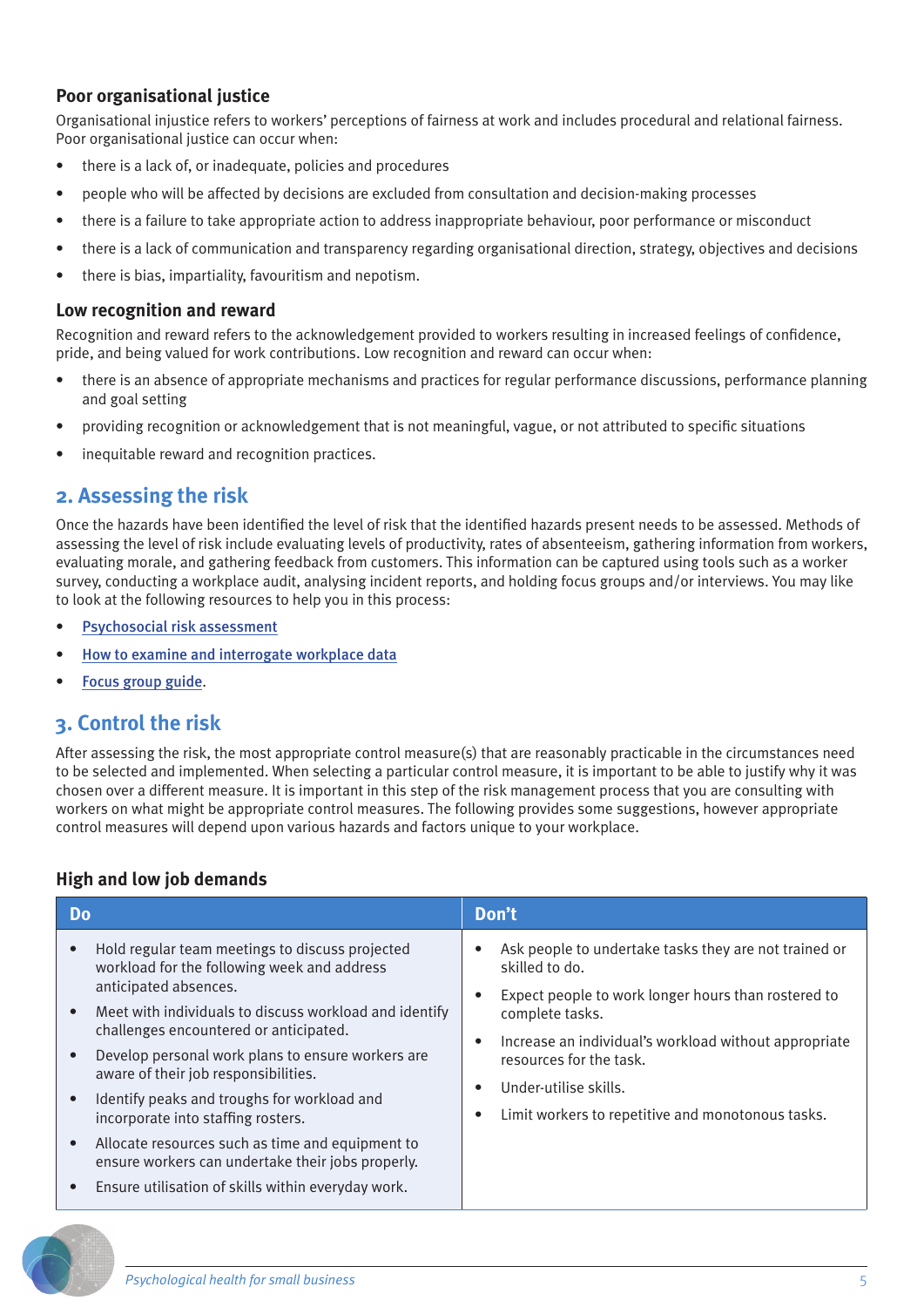#### **Poor organisational justice**

Organisational injustice refers to workers' perceptions of fairness at work and includes procedural and relational fairness. Poor organisational justice can occur when:

- there is a lack of, or inadequate, policies and procedures
- people who will be affected by decisions are excluded from consultation and decision-making processes
- there is a failure to take appropriate action to address inappropriate behaviour, poor performance or misconduct
- there is a lack of communication and transparency regarding organisational direction, strategy, objectives and decisions
- there is bias, impartiality, favouritism and nepotism.

#### **Low recognition and reward**

Recognition and reward refers to the acknowledgement provided to workers resulting in increased feelings of confidence, pride, and being valued for work contributions. Low recognition and reward can occur when:

- there is an absence of appropriate mechanisms and practices for regular performance discussions, performance planning and goal setting
- providing recognition or acknowledgement that is not meaningful, vague, or not attributed to specific situations
- inequitable reward and recognition practices.

#### **2. Assessing the risk**

Once the hazards have been identified the level of risk that the identified hazards present needs to be assessed. Methods of assessing the level of risk include evaluating levels of productivity, rates of absenteeism, gathering information from workers, evaluating morale, and gathering feedback from customers. This information can be captured using tools such as a worker survey, conducting a workplace audit, analysing incident reports, and holding focus groups and/or interviews. You may like to look at the following resources to help you in this process:

- [Psychosocial risk assessment](https://www.worksafe.qld.gov.au/__data/assets/pdf_file/0017/172115/psychosocial-risk-assessment.pdf)
- [How to examine and interrogate workplace data](https://www.worksafe.qld.gov.au/__data/assets/pdf_file/0006/146265/how-to-examine-and-interrogate-workplace-data.pdf)
- [Focus group guide](https://www.worksafe.qld.gov.au/__data/assets/pdf_file/0005/146264/focus-group-guide.pdf).

### **3. Control the risk**

After assessing the risk, the most appropriate control measure(s) that are reasonably practicable in the circumstances need to be selected and implemented. When selecting a particular control measure, it is important to be able to justify why it was chosen over a different measure. It is important in this step of the risk management process that you are consulting with workers on what might be appropriate control measures. The following provides some suggestions, however appropriate control measures will depend upon various hazards and factors unique to your workplace.

#### **High and low job demands**

| D <sub>o</sub>                                                                                                                                                                                                                                                                                                                                                                                                                                                                                                                                                                            | Don't                                                                                                                                                                                                                                                                                                               |
|-------------------------------------------------------------------------------------------------------------------------------------------------------------------------------------------------------------------------------------------------------------------------------------------------------------------------------------------------------------------------------------------------------------------------------------------------------------------------------------------------------------------------------------------------------------------------------------------|---------------------------------------------------------------------------------------------------------------------------------------------------------------------------------------------------------------------------------------------------------------------------------------------------------------------|
| Hold regular team meetings to discuss projected<br>workload for the following week and address<br>anticipated absences.<br>Meet with individuals to discuss workload and identify<br>challenges encountered or anticipated.<br>Develop personal work plans to ensure workers are<br>aware of their job responsibilities.<br>Identify peaks and troughs for workload and<br>incorporate into staffing rosters.<br>Allocate resources such as time and equipment to<br>ensure workers can undertake their jobs properly.<br>Ensure utilisation of skills within everyday work.<br>$\bullet$ | Ask people to undertake tasks they are not trained or<br>skilled to do.<br>Expect people to work longer hours than rostered to<br>complete tasks.<br>Increase an individual's workload without appropriate<br>resources for the task.<br>Under-utilise skills.<br>Limit workers to repetitive and monotonous tasks. |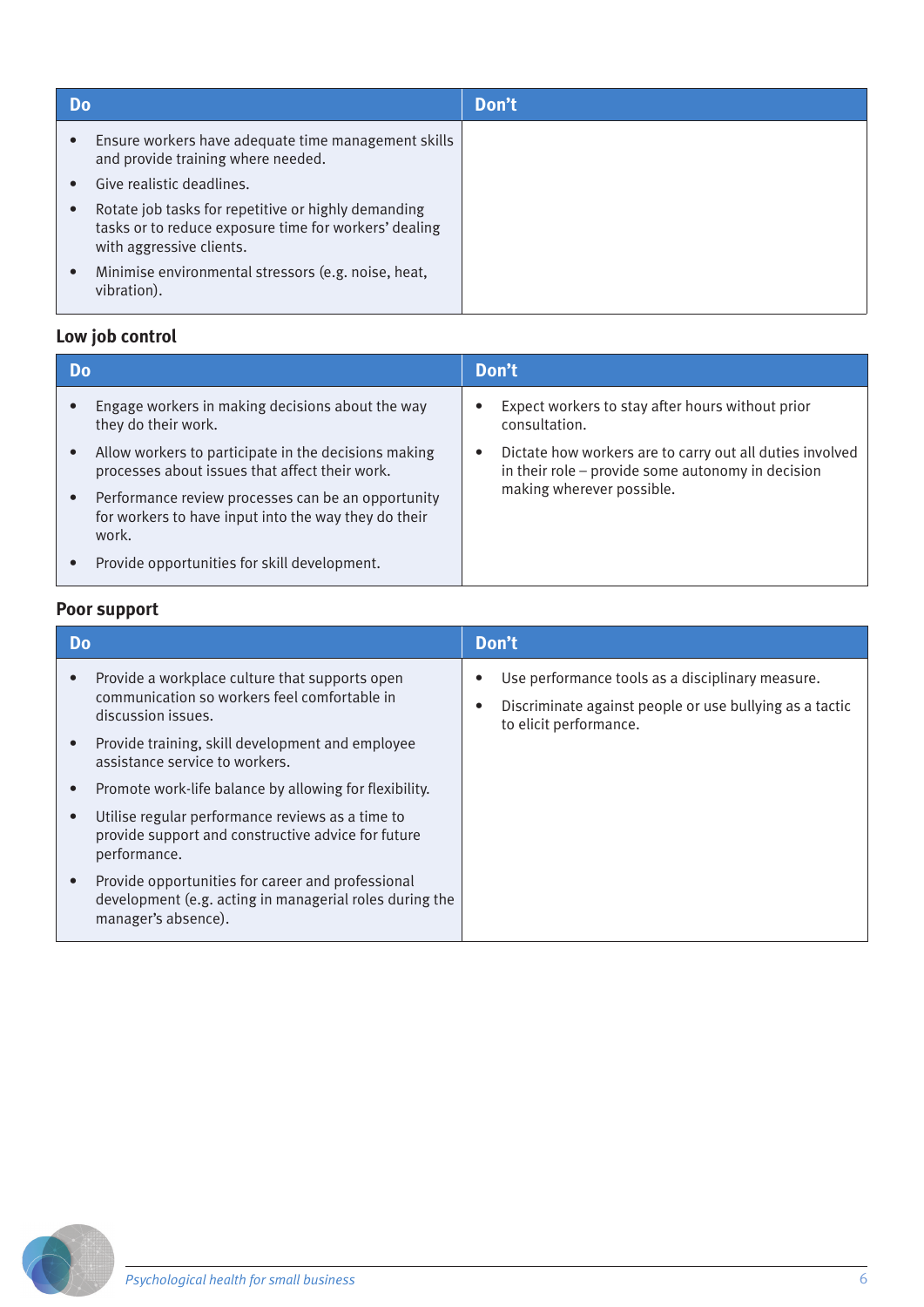| Do        |                                                                                                                                          | Don't |
|-----------|------------------------------------------------------------------------------------------------------------------------------------------|-------|
| $\bullet$ | Ensure workers have adequate time management skills<br>and provide training where needed.                                                |       |
|           | Give realistic deadlines.                                                                                                                |       |
|           | Rotate job tasks for repetitive or highly demanding<br>tasks or to reduce exposure time for workers' dealing<br>with aggressive clients. |       |
| $\bullet$ | Minimise environmental stressors (e.g. noise, heat,<br>vibration).                                                                       |       |

## **Low job control**

| Do |                                                                                                                     | Don't     |                                                                                                               |  |  |                           |
|----|---------------------------------------------------------------------------------------------------------------------|-----------|---------------------------------------------------------------------------------------------------------------|--|--|---------------------------|
|    | Engage workers in making decisions about the way<br>they do their work.                                             | $\bullet$ | Expect workers to stay after hours without prior<br>consultation.                                             |  |  |                           |
|    | Allow workers to participate in the decisions making<br>processes about issues that affect their work.              | $\bullet$ | Dictate how workers are to carry out all duties involved<br>in their role - provide some autonomy in decision |  |  |                           |
|    | Performance review processes can be an opportunity<br>for workers to have input into the way they do their<br>work. |           |                                                                                                               |  |  | making wherever possible. |
|    | Provide opportunities for skill development.                                                                        |           |                                                                                                               |  |  |                           |

## **Poor support**

| Do.                                                                                                                                              | Don't                                                                                                                                 |
|--------------------------------------------------------------------------------------------------------------------------------------------------|---------------------------------------------------------------------------------------------------------------------------------------|
| Provide a workplace culture that supports open<br>$\bullet$<br>communication so workers feel comfortable in<br>discussion issues.                | Use performance tools as a disciplinary measure.<br>Discriminate against people or use bullying as a tactic<br>to elicit performance. |
| Provide training, skill development and employee<br>$\bullet$<br>assistance service to workers.                                                  |                                                                                                                                       |
| Promote work-life balance by allowing for flexibility.<br>$\bullet$                                                                              |                                                                                                                                       |
| Utilise regular performance reviews as a time to<br>$\bullet$<br>provide support and constructive advice for future<br>performance.              |                                                                                                                                       |
| Provide opportunities for career and professional<br>$\bullet$<br>development (e.g. acting in managerial roles during the<br>manager's absence). |                                                                                                                                       |

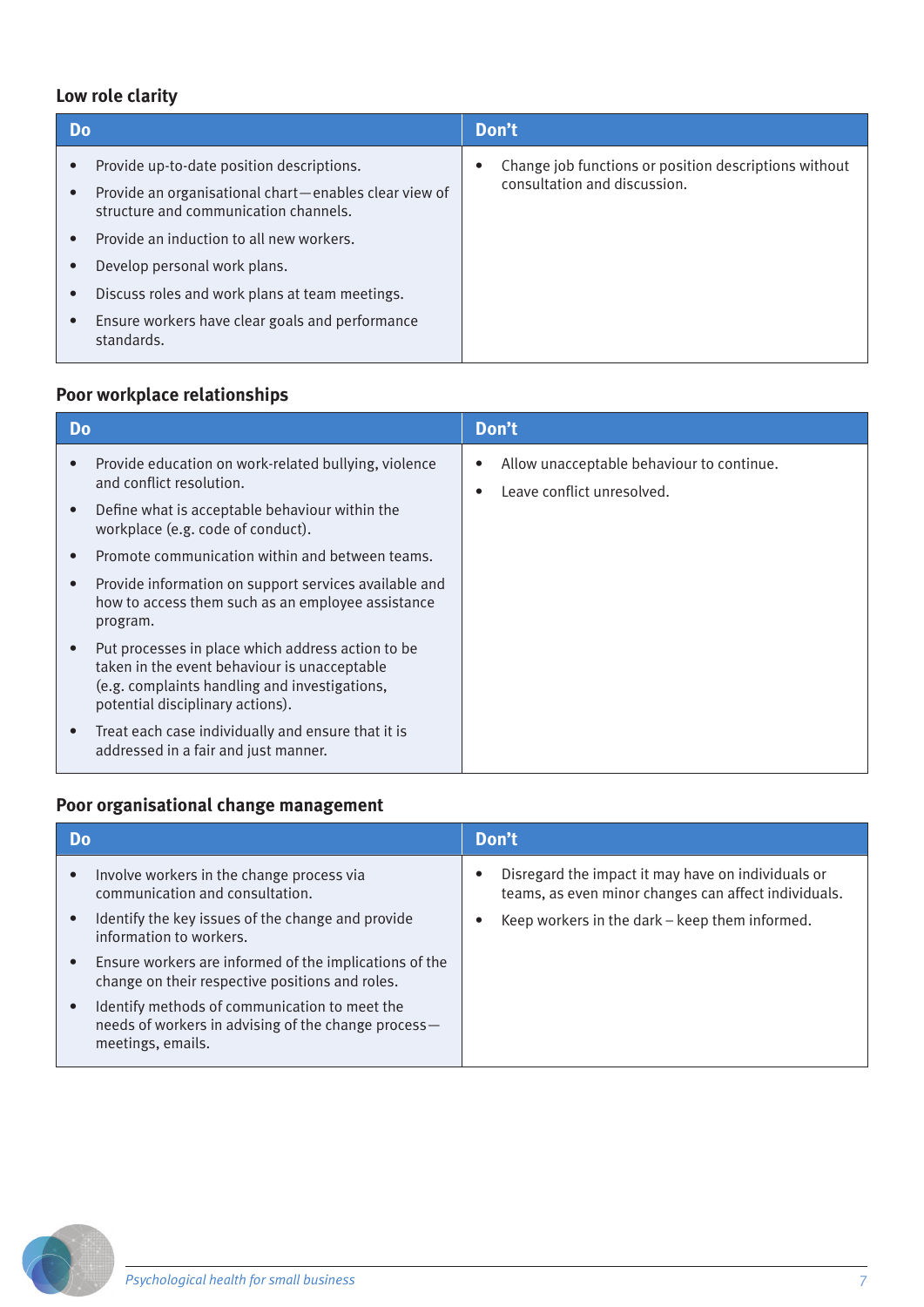## **Low role clarity**

| <b>Do</b>                                                                                                                                                                                                                                                                                                                                               | Don't                                                                                 |
|---------------------------------------------------------------------------------------------------------------------------------------------------------------------------------------------------------------------------------------------------------------------------------------------------------------------------------------------------------|---------------------------------------------------------------------------------------|
| Provide up-to-date position descriptions.<br>Provide an organisational chart-enables clear view of<br>structure and communication channels.<br>Provide an induction to all new workers.<br>Develop personal work plans.<br>Discuss roles and work plans at team meetings.<br>Ensure workers have clear goals and performance<br>$\bullet$<br>standards. | Change job functions or position descriptions without<br>consultation and discussion. |
|                                                                                                                                                                                                                                                                                                                                                         |                                                                                       |

## **Poor workplace relationships**

| Do |                                                                                                                                                                                        | Don't                                                                   |
|----|----------------------------------------------------------------------------------------------------------------------------------------------------------------------------------------|-------------------------------------------------------------------------|
|    | Provide education on work-related bullying, violence<br>and conflict resolution.                                                                                                       | Allow unacceptable behaviour to continue.<br>Leave conflict unresolved. |
|    | Define what is acceptable behaviour within the<br>workplace (e.g. code of conduct).                                                                                                    |                                                                         |
|    | Promote communication within and between teams.                                                                                                                                        |                                                                         |
|    | Provide information on support services available and<br>how to access them such as an employee assistance<br>program.                                                                 |                                                                         |
|    | Put processes in place which address action to be<br>taken in the event behaviour is unacceptable<br>(e.g. complaints handling and investigations,<br>potential disciplinary actions). |                                                                         |
|    | Treat each case individually and ensure that it is<br>addressed in a fair and just manner.                                                                                             |                                                                         |

#### **Poor organisational change management**

| Do        |                                                                                                                           | Don't |                                                                                                            |
|-----------|---------------------------------------------------------------------------------------------------------------------------|-------|------------------------------------------------------------------------------------------------------------|
| $\bullet$ | Involve workers in the change process via<br>communication and consultation.                                              |       | Disregard the impact it may have on individuals or<br>teams, as even minor changes can affect individuals. |
| $\bullet$ | Identify the key issues of the change and provide<br>information to workers.                                              |       | Keep workers in the dark – keep them informed.                                                             |
| $\bullet$ | Ensure workers are informed of the implications of the<br>change on their respective positions and roles.                 |       |                                                                                                            |
| $\bullet$ | Identify methods of communication to meet the<br>needs of workers in advising of the change process-<br>meetings, emails. |       |                                                                                                            |